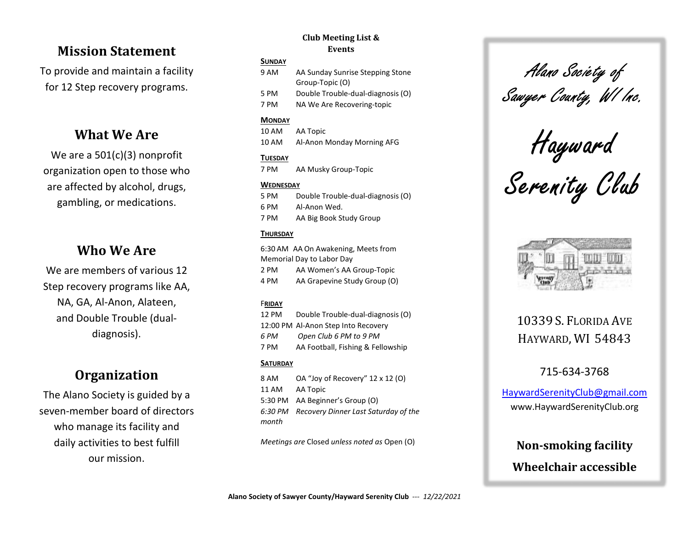## Mission Statement

To provide and maintain a facility for 12 Step recovery programs.

## What We Are

We are a 501(c)(3) nonprofit organization open to those who are affected by alcohol, drugs, gambling, or medications.

## Who We Are

We are members of various 12 Step recovery programs like AA, NA, GA, Al-Anon, Alateen, and Double Trouble (dualdiagnosis).

# **Organization**

The Alano Society is guided by a seven-member board of directors who manage its facility and daily activities to best fulfill our mission.

### Club Meeting List & Events

#### SUNDAY

| 9 AM | AA Sunday Sunrise Stepping Stone  |  |
|------|-----------------------------------|--|
|      | Group-Topic (O)                   |  |
| 5 PM | Double Trouble-dual-diagnosis (O) |  |
| 7 PM | NA We Are Recovering-topic        |  |

### **MONDAY**

10 AM AA Topic 10 AM Al-Anon Monday Morning AFG

### **TUESDAY**

7 PM AA Musky Group-Topic

### **WEDNESDAY**

5 PM Double Trouble-dual-diagnosis (O) 6 PM Al-Anon Wed. 7 PM AA Big Book Study Group

### **THURSDAY**

6:30 AM AA On Awakening, Meets from Memorial Day to Labor Day 2 PM AA Women's AA Group-Topic 4 PM AA Grapevine Study Group (O)

### FRIDAY

12 PM Double Trouble-dual-diagnosis (O) 12:00 PM Al-Anon Step Into Recovery 6 PM Open Club 6 PM to 9 PM 7 PM AA Football, Fishing & Fellowship

### **SATURDAY**

8 AM OA "Joy of Recovery" 12 x 12 (O) 11 AM AA Topic 5:30 PM AA Beginner's Group (O) 6:30 PM Recovery Dinner Last Saturday of the month

Meetings are Closed unless noted as Open (O)

# Alano Society of Sawyer County, WI Inc.

Hayward

Serenity Club



# 10339 S. FLORIDA AVE HAYWARD, WI 54843

### 715-634-3768

HaywardSerenityClub@gmail.com www.HaywardSerenityClub.org

# Non-smoking facility Wheelchair accessible

Alano Society of Sawyer County/Hayward Serenity Club --- 12/22/2021